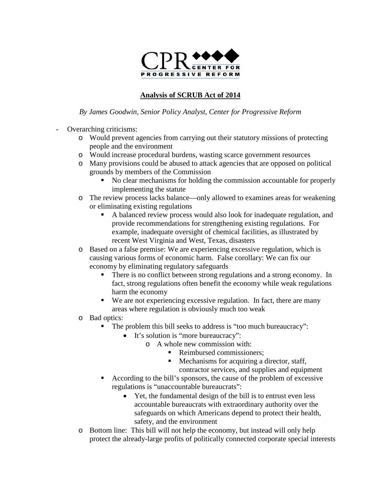

## **Analysis of SCRUB Act of 2014**

## *By James Goodwin, Senior Policy Analyst, Center for Progressive Reform*

- Overarching criticisms:
	- o Would prevent agencies from carrying out their statutory missions of protecting people and the environment
	- o Would increase procedural burdens, wasting scarce government resources
	- o Many provisions could be abused to attack agencies that are opposed on political grounds by members of the Commission
		- No clear mechanisms for holding the commission accountable for properly implementing the statute
	- o The review process lacks balance—only allowed to examines areas for weakening or eliminating existing regulations
		- A balanced review process would also look for inadequate regulation, and provide recommendations for strengthening existing regulations. For example, inadequate oversight of chemical facilities, as illustrated by recent West Virginia and West, Texas, disasters
	- o Based on a false premise: We are experiencing excessive regulation, which is causing various forms of economic harm. False corollary: We can fix our economy by eliminating regulatory safeguards
		- There is no conflict between strong regulations and a strong economy. In fact, strong regulations often benefit the economy while weak regulations harm the economy
		- We are not experiencing excessive regulation. In fact, there are many areas where regulation is obviously much too weak
	- o Bad optics:
		- The problem this bill seeks to address is "too much bureaucracy":
			- It's solution is "more bureaucracy":
				- o A whole new commission with:
					- Reimbursed commissioners:
					- Mechanisms for acquiring a director, staff,
						- contractor services, and supplies and equipment
			- According to the bill's sponsors, the cause of the problem of excessive regulations is "unaccountable bureaucrats":
				- Yet, the fundamental design of the bill is to entrust even less accountable bureaucrats with extraordinary authority over the safeguards on which Americans depend to protect their health, safety, and the environment
	- o Bottom line: This bill will not help the economy, but instead will only help protect the already-large profits of politically connected corporate special interests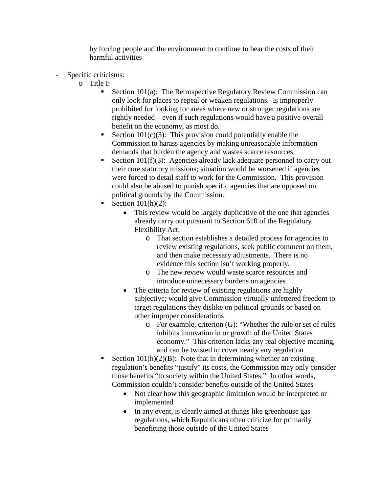by forcing people and the environment to continue to bear the costs of their harmful activities

- Specific criticisms:
	- o Title I:
		- Section 101(a): The Retrospective Regulatory Review Commission can only look for places to repeal or weaken regulations. Is improperly prohibited for looking for areas where new or stronger regulations are rightly needed—even if such regulations would have a positive overall benefit on the economy, as most do.
		- Section  $101(c)(3)$ : This provision could potentially enable the Commission to harass agencies by making unreasonable information demands that burden the agency and wastes scarce resources
		- Section 101(f)(3): Agencies already lack adequate personnel to carry out their core statutory missions; situation would be worsened if agencies were forced to detail staff to work for the Commission. This provision could also be abused to punish specific agencies that are opposed on political grounds by the Commission.
		- Section 101(h)(2):
			- This review would be largely duplicative of the one that agencies already carry out pursuant to Section 610 of the Regulatory Flexibility Act.
				- o That section establishes a detailed process for agencies to review existing regulations, seek public comment on them, and then make necessary adjustments. There is no evidence this section isn't working properly.
				- o The new review would waste scarce resources and introduce unnecessary burdens on agencies
			- The criteria for review of existing regulations are highly subjective; would give Commission virtually unfettered freedom to target regulations they dislike on political grounds or based on other improper considerations
				- o For example, criterion (G): "Whether the rule or set of rules inhibits innovation in or growth of the United States economy." This criterion lacks any real objective meaning, and can be twisted to cover nearly any regulation
		- Section  $101(h)(2)(B)$ : Note that in determining whether an existing regulation's benefits "justify" its costs, the Commission may only consider those benefits "to society within the United States." In other words, Commission couldn't consider benefits outside of the United States
			- Not clear how this geographic limitation would be interpreted or implemented
			- In any event, is clearly aimed at things like greenhouse gas regulations, which Republicans often criticize for primarily benefitting those outside of the United States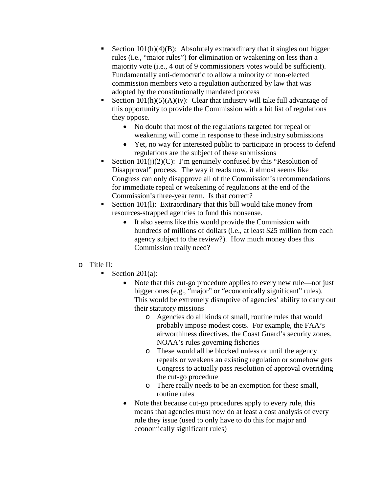- Section  $101(h)(4)(B)$ : Absolutely extraordinary that it singles out bigger rules (i.e., "major rules") for elimination or weakening on less than a majority vote (i.e., 4 out of 9 commissioners votes would be sufficient). Fundamentally anti-democratic to allow a minority of non-elected commission members veto a regulation authorized by law that was adopted by the constitutionally mandated process
- Section  $101(h)(5)(A)(iv)$ : Clear that industry will take full advantage of this opportunity to provide the Commission with a hit list of regulations they oppose.
	- No doubt that most of the regulations targeted for repeal or weakening will come in response to these industry submissions
	- Yet, no way for interested public to participate in process to defend regulations are the subject of these submissions
- Section  $101(i)(2)(C)$ : I'm genuinely confused by this "Resolution of Disapproval" process. The way it reads now, it almost seems like Congress can only disapprove all of the Commission's recommendations for immediate repeal or weakening of regulations at the end of the Commission's three-year term. Is that correct?
- Section 101(1): Extraordinary that this bill would take money from resources-strapped agencies to fund this nonsense.
	- It also seems like this would provide the Commission with hundreds of millions of dollars (i.e., at least \$25 million from each agency subject to the review?). How much money does this Commission really need?

## o Title II:

- Section 201(a):
	- Note that this cut-go procedure applies to every new rule—not just bigger ones (e.g., "major" or "economically significant" rules). This would be extremely disruptive of agencies' ability to carry out their statutory missions
		- o Agencies do all kinds of small, routine rules that would probably impose modest costs. For example, the FAA's airworthiness directives, the Coast Guard's security zones, NOAA's rules governing fisheries
		- o These would all be blocked unless or until the agency repeals or weakens an existing regulation or somehow gets Congress to actually pass resolution of approval overriding the cut-go procedure
		- o There really needs to be an exemption for these small, routine rules
	- Note that because cut-go procedures apply to every rule, this means that agencies must now do at least a cost analysis of every rule they issue (used to only have to do this for major and economically significant rules)